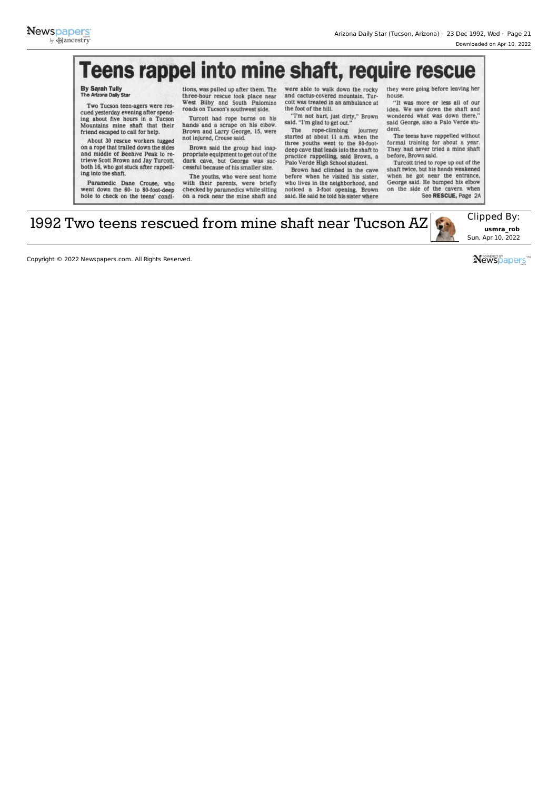## **Teens rappel into mine shaft, require rescue**

## By Sarah Tully The Arizona Dally Star

Two Tucson teen-agers were rescued yesterday evening after spend-ing about five hours in a Tucson Mountains mine shaft that their friend escaped to call for help.

About 30 rescue workers tugged on a rope that trailed down the sides and middle of Beehive Peak to retrieve Scott Brown and Jay Turcott, both 16, who got stuck after rappelling into the shaft.

Paramedic Dane Crouse, who went down the 60- to 80-foot-deep hole to check on the teens' condi-

tions, was pulled up after them. The three-hour rescue took place near West Bilby and South Palomino roads on Tucson's southwest side.

Turcott had rope bums on his hands and a scrape on his elbow. Brown and Larry George, 15, were not injured, Crouse said.

Brown said the group had inappropriate equipment to get out of the dark cave, but George was successful because of his smaller size.

The youths, who were sent home with their parents, were briefly checked by paramedics while sitting on a rock near the mine shaft and

were able to walk down the rocky and cactus-covered mountain. Turcott was treated in an ambulance at the foot of the hill. "I'm not hurt, just dirty," Brown

said. "I'm glad to get out." The rope-climbing journey

started at about 11 a.m. when the three youths went to the 80-foot-deep cave that leads into the shaft to practice rappelling, said Brown, a Palo Verde High School student.

Brown had climbed in the cave before when he visited his sister, who lives in the neighborhood, and<br>noticed a 3-foot opening. Brown 3-foot opening, Brown said. He said he told his sister where

they were going before leaving her house.

"It was more or less all of our idea. We saw down the shaft and wondered what was down there," said George, also a Palo Verde student.

The teens have rappelled without formal training for about a year. They had never tried a mine shaft before, Brown said.

Turcott tried to rope up out of the shaft twice, but his hands weakened when he got near the entrance, George said. He bumped his elbow on the side of the cavern when See RESCUE, Page 2A

1992 Two teens rescued from mine shaft near Tucson  $AZ$  Clipped By:



Sun, Apr 10, 2022

Copyright © 2022 Newspapers.com. All Rights Reserved.

**Newspapers**™